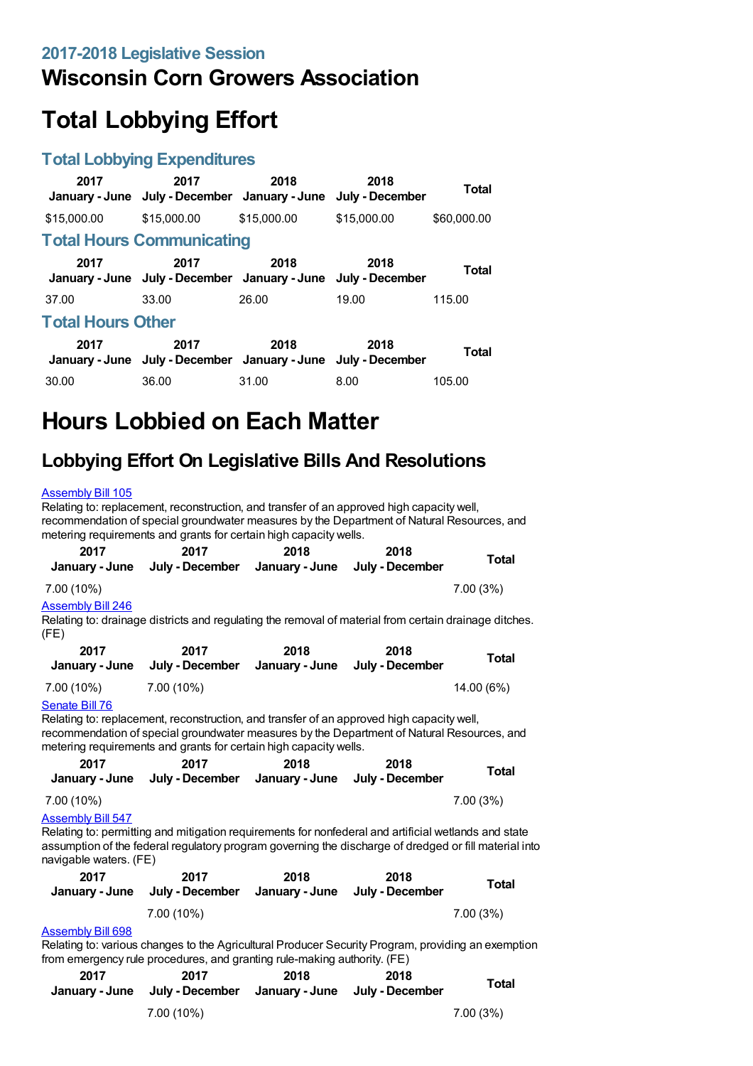## **Wisconsin Corn Growers Association**

# **Total Lobbying Effort**

#### **Total Lobbying Expenditures**

| 2017<br>January - June   | 2017<br>July - December January - June                                | 2018        | 2018<br>July - December | Total       |
|--------------------------|-----------------------------------------------------------------------|-------------|-------------------------|-------------|
| \$15,000.00              | \$15,000.00                                                           | \$15,000.00 | \$15,000.00             | \$60,000.00 |
|                          | <b>Total Hours Communicating</b>                                      |             |                         |             |
| 2017                     | 2017<br>January - June July - December January - June July - December | 2018        | 2018                    | Total       |
| 37.00                    | 33.00                                                                 | 26.00       | 19.00                   | 115.00      |
| <b>Total Hours Other</b> |                                                                       |             |                         |             |
| 2017                     | 2017<br>January - June July - December January - June July - December | 2018        | 2018                    | Total       |
| 30.00                    | 36.00                                                                 | 31.00       | 8.00                    | 105.00      |

# **Hours Lobbied on Each Matter**

### **Lobbying Effort On Legislative Bills And Resolutions**

#### [Assembly](https://lobbying.wi.gov/What/BillInformation/2017REG/Information/13905?tab=Efforts) Bill 105

Relating to: replacement, reconstruction, and transfer of an approved high capacity well, recommendation of special groundwater measures by the Department of Natural Resources, and metering requirements and grants for certain high capacity wells. **2017 January - June 2017 July - December January - June 2018 2018 July - December Total** 7.00 (10%) 7.00 (3%) [Assembly](https://lobbying.wi.gov/What/BillInformation/2017REG/Information/14200?tab=Efforts) Bill 246 Relating to: drainage districts and regulating the removal of material from certain drainage ditches. (FE) **2017 January - June 2017 July - December 2018 January - June 2018 July - December Total** 7.00 (10%) 7.00 (10%) 14.00 (6%) [Senate](https://lobbying.wi.gov/What/BillInformation/2017REG/Information/13861?tab=Efforts) Bill 76 Relating to: replacement, reconstruction, and transfer of an approved high capacity well, recommendation of special groundwater measures by the Department of Natural Resources, and metering requirements and grants for certain high capacity wells. **2017 January - June July - December 2017 2018 January - June 2018 July - December Total** 7.00 (10%) 7.00 (3%) [Assembly](https://lobbying.wi.gov/What/BillInformation/2017REG/Information/14872?tab=Efforts) Bill 547 Relating to: permitting and mitigation requirements for nonfederal and artificial wetlands and state assumption of the federal regulatory program governing the discharge of dredged or fill material into navigable waters. (FE) **2017 January - June 2017 July - December 2018 January - June 2018 July - December Total** 7.00 (10%) 7.00 (3%) [Assembly](https://lobbying.wi.gov/What/BillInformation/2017REG/Information/15179?tab=Efforts) Bill 698 Relating to: various changes to the Agricultural Producer Security Program, providing an exemption from emergency rule procedures, and granting rule-making authority. (FE)

| 2017 | 2017<br>January - June July - December | 2018 | 2018<br>January - June July - December | <b>Total</b> |
|------|----------------------------------------|------|----------------------------------------|--------------|
|      | 7.00 (10%)                             |      |                                        | 7.00(3%)     |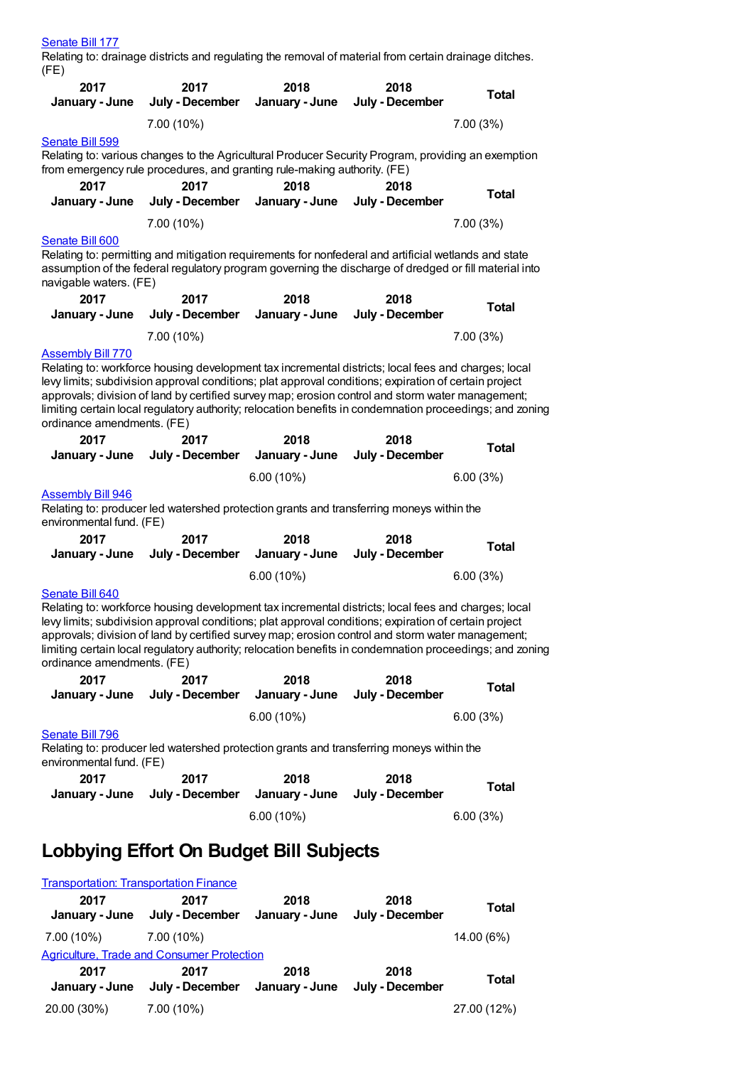|  | Senate Bill 1 |  |
|--|---------------|--|
|--|---------------|--|

Relating to: drainage districts and regulating the removal of material from certain drainage ditches. (FE)

| 2017<br>January - June                                                                                                                                                                                                                                                                                                                                                                                                                                                        | 2017<br>July - December                                                                                                                                                                                                                                                                                                                                                                                                      | 2018<br>January - June | 2018<br>July - December | <b>Total</b> |
|-------------------------------------------------------------------------------------------------------------------------------------------------------------------------------------------------------------------------------------------------------------------------------------------------------------------------------------------------------------------------------------------------------------------------------------------------------------------------------|------------------------------------------------------------------------------------------------------------------------------------------------------------------------------------------------------------------------------------------------------------------------------------------------------------------------------------------------------------------------------------------------------------------------------|------------------------|-------------------------|--------------|
|                                                                                                                                                                                                                                                                                                                                                                                                                                                                               | 7.00 (10%)                                                                                                                                                                                                                                                                                                                                                                                                                   |                        |                         | 7.00 (3%)    |
| Senate Bill 599                                                                                                                                                                                                                                                                                                                                                                                                                                                               |                                                                                                                                                                                                                                                                                                                                                                                                                              |                        |                         |              |
|                                                                                                                                                                                                                                                                                                                                                                                                                                                                               | Relating to: various changes to the Agricultural Producer Security Program, providing an exemption<br>from emergency rule procedures, and granting rule-making authority. (FE)                                                                                                                                                                                                                                               |                        |                         |              |
| 2017                                                                                                                                                                                                                                                                                                                                                                                                                                                                          | 2017                                                                                                                                                                                                                                                                                                                                                                                                                         | 2018                   | 2018                    |              |
| January - June                                                                                                                                                                                                                                                                                                                                                                                                                                                                | July - December                                                                                                                                                                                                                                                                                                                                                                                                              | January - June         | July - December         | <b>Total</b> |
|                                                                                                                                                                                                                                                                                                                                                                                                                                                                               | 7.00 (10%)                                                                                                                                                                                                                                                                                                                                                                                                                   |                        |                         | 7.00 (3%)    |
| Senate Bill 600                                                                                                                                                                                                                                                                                                                                                                                                                                                               |                                                                                                                                                                                                                                                                                                                                                                                                                              |                        |                         |              |
| navigable waters. (FE)                                                                                                                                                                                                                                                                                                                                                                                                                                                        | Relating to: permitting and mitigation requirements for nonfederal and artificial wetlands and state<br>assumption of the federal regulatory program governing the discharge of dredged or fill material into                                                                                                                                                                                                                |                        |                         |              |
| 2017                                                                                                                                                                                                                                                                                                                                                                                                                                                                          | 2017                                                                                                                                                                                                                                                                                                                                                                                                                         | 2018                   | 2018                    |              |
| January - June                                                                                                                                                                                                                                                                                                                                                                                                                                                                | July - December                                                                                                                                                                                                                                                                                                                                                                                                              | January - June         | July - December         | <b>Total</b> |
|                                                                                                                                                                                                                                                                                                                                                                                                                                                                               | 7.00 (10%)                                                                                                                                                                                                                                                                                                                                                                                                                   |                        |                         | 7.00 (3%)    |
| <b>Assembly Bill 770</b>                                                                                                                                                                                                                                                                                                                                                                                                                                                      |                                                                                                                                                                                                                                                                                                                                                                                                                              |                        |                         |              |
| ordinance amendments. (FE)                                                                                                                                                                                                                                                                                                                                                                                                                                                    | Relating to: workforce housing development tax incremental districts; local fees and charges; local<br>levy limits; subdivision approval conditions; plat approval conditions; expiration of certain project<br>approvals; division of land by certified survey map; erosion control and storm water management;<br>limiting certain local regulatory authority; relocation benefits in condemnation proceedings; and zoning |                        |                         |              |
| 2017                                                                                                                                                                                                                                                                                                                                                                                                                                                                          | 2017                                                                                                                                                                                                                                                                                                                                                                                                                         | 2018                   | 2018                    | <b>Total</b> |
| January - June                                                                                                                                                                                                                                                                                                                                                                                                                                                                | July - December                                                                                                                                                                                                                                                                                                                                                                                                              | January - June         | July - December         |              |
|                                                                                                                                                                                                                                                                                                                                                                                                                                                                               |                                                                                                                                                                                                                                                                                                                                                                                                                              | $6.00(10\%)$           |                         | 6.00(3%)     |
| <b>Assembly Bill 946</b><br>Relating to: producer led watershed protection grants and transferring moneys within the<br>environmental fund. (FE)                                                                                                                                                                                                                                                                                                                              |                                                                                                                                                                                                                                                                                                                                                                                                                              |                        |                         |              |
| 2017                                                                                                                                                                                                                                                                                                                                                                                                                                                                          | 2017                                                                                                                                                                                                                                                                                                                                                                                                                         | 2018                   | 2018                    |              |
| January - June                                                                                                                                                                                                                                                                                                                                                                                                                                                                | July - December                                                                                                                                                                                                                                                                                                                                                                                                              | January - June         | July - December         | <b>Total</b> |
|                                                                                                                                                                                                                                                                                                                                                                                                                                                                               |                                                                                                                                                                                                                                                                                                                                                                                                                              | $6.00(10\%)$           |                         | 6.00(3%)     |
| Senate Bill 640<br>Relating to: workforce housing development tax incremental districts; local fees and charges; local<br>levy limits; subdivision approval conditions; plat approval conditions; expiration of certain project<br>approvals; division of land by certified survey map; erosion control and storm water management;<br>limiting certain local regulatory authority; relocation benefits in condemnation proceedings; and zoning<br>ordinance amendments. (FE) |                                                                                                                                                                                                                                                                                                                                                                                                                              |                        |                         |              |
| 2017                                                                                                                                                                                                                                                                                                                                                                                                                                                                          | 2017                                                                                                                                                                                                                                                                                                                                                                                                                         | 2018                   | 2018                    | <b>Total</b> |
| January - June                                                                                                                                                                                                                                                                                                                                                                                                                                                                | July - December                                                                                                                                                                                                                                                                                                                                                                                                              | January - June         | July - December         |              |
|                                                                                                                                                                                                                                                                                                                                                                                                                                                                               |                                                                                                                                                                                                                                                                                                                                                                                                                              | $6.00(10\%)$           |                         | 6.00(3%)     |
| Senate Bill 796<br>Relating to: producer led watershed protection grants and transferring moneys within the<br>environmental fund. (FE)                                                                                                                                                                                                                                                                                                                                       |                                                                                                                                                                                                                                                                                                                                                                                                                              |                        |                         |              |
| 2017                                                                                                                                                                                                                                                                                                                                                                                                                                                                          | 2017                                                                                                                                                                                                                                                                                                                                                                                                                         | 2018                   | 2018                    | <b>Total</b> |
| January - June                                                                                                                                                                                                                                                                                                                                                                                                                                                                | July - December                                                                                                                                                                                                                                                                                                                                                                                                              | January - June         | July - December         |              |
|                                                                                                                                                                                                                                                                                                                                                                                                                                                                               |                                                                                                                                                                                                                                                                                                                                                                                                                              | $6.00(10\%)$           |                         | 6.00(3%)     |
| Lobbying Effort On Budget Bill Subjects                                                                                                                                                                                                                                                                                                                                                                                                                                       |                                                                                                                                                                                                                                                                                                                                                                                                                              |                        |                         |              |
| <b>Transportation: Transportation Finance</b>                                                                                                                                                                                                                                                                                                                                                                                                                                 |                                                                                                                                                                                                                                                                                                                                                                                                                              |                        |                         |              |
| 2017<br>January - June                                                                                                                                                                                                                                                                                                                                                                                                                                                        | 2017<br>July - December                                                                                                                                                                                                                                                                                                                                                                                                      | 2018<br>January - June | 2018<br>July - December | <b>Total</b> |

| 7.00 (10%)             | 7.00 (10%)                                        |                        |                         | 14.00 (6%)  |
|------------------------|---------------------------------------------------|------------------------|-------------------------|-------------|
|                        | <b>Agriculture, Trade and Consumer Protection</b> |                        |                         |             |
| 2017<br>January - June | 2017<br>July - December                           | 2018<br>January - June | 2018<br>July - December | Total       |
| 20.00 (30%)            | $7.00(10\%)$                                      |                        |                         | 27.00 (12%) |